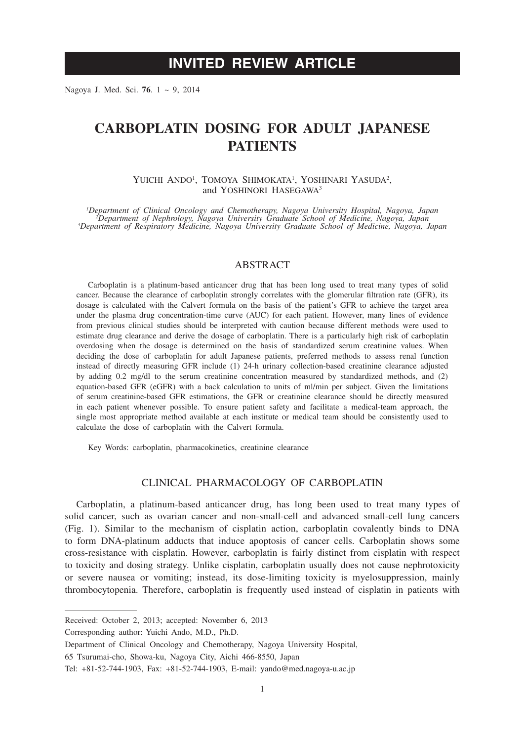# **INVITED REVIEW ARTICLE**

Nagoya J. Med. Sci. **76**. 1 ~ 9, 2014

# **CARBOPLATIN DOSING FOR ADULT JAPANESE PATIENTS**

YUICHI ANDO<sup>1</sup>, TOMOYA SHIMOKATA<sup>1</sup>, YOSHINARI YASUDA<sup>2</sup>, and YOSHINORI HASEGAWA<sup>3</sup>

*1 Department of Clinical Oncology and Chemotherapy, Nagoya University Hospital, Nagoya, Japan <sup>2</sup> Department of Nephrology, Nagoya University Graduate School of Medicine, Nagoya, Japan <sup>3</sup> Department of Respiratory Medicine, Nagoya University Graduate School of Medicine, Nagoya, Japan*

## ABSTRACT

Carboplatin is a platinum-based anticancer drug that has been long used to treat many types of solid cancer. Because the clearance of carboplatin strongly correlates with the glomerular filtration rate (GFR), its dosage is calculated with the Calvert formula on the basis of the patient's GFR to achieve the target area under the plasma drug concentration-time curve (AUC) for each patient. However, many lines of evidence from previous clinical studies should be interpreted with caution because different methods were used to estimate drug clearance and derive the dosage of carboplatin. There is a particularly high risk of carboplatin overdosing when the dosage is determined on the basis of standardized serum creatinine values. When deciding the dose of carboplatin for adult Japanese patients, preferred methods to assess renal function instead of directly measuring GFR include (1) 24-h urinary collection-based creatinine clearance adjusted by adding 0.2 mg/dl to the serum creatinine concentration measured by standardized methods, and (2) equation-based GFR (eGFR) with a back calculation to units of ml/min per subject. Given the limitations of serum creatinine-based GFR estimations, the GFR or creatinine clearance should be directly measured in each patient whenever possible. To ensure patient safety and facilitate a medical-team approach, the single most appropriate method available at each institute or medical team should be consistently used to calculate the dose of carboplatin with the Calvert formula.

Key Words: carboplatin, pharmacokinetics, creatinine clearance

## CLINICAL PHARMACOLOGY OF CARBOPLATIN

Carboplatin, a platinum-based anticancer drug, has long been used to treat many types of solid cancer, such as ovarian cancer and non-small-cell and advanced small-cell lung cancers (Fig. 1). Similar to the mechanism of cisplatin action, carboplatin covalently binds to DNA to form DNA-platinum adducts that induce apoptosis of cancer cells. Carboplatin shows some cross-resistance with cisplatin. However, carboplatin is fairly distinct from cisplatin with respect to toxicity and dosing strategy. Unlike cisplatin, carboplatin usually does not cause nephrotoxicity or severe nausea or vomiting; instead, its dose-limiting toxicity is myelosuppression, mainly thrombocytopenia. Therefore, carboplatin is frequently used instead of cisplatin in patients with

Corresponding author: Yuichi Ando, M.D., Ph.D.

Received: October 2, 2013; accepted: November 6, 2013

Department of Clinical Oncology and Chemotherapy, Nagoya University Hospital,

<sup>65</sup> Tsurumai-cho, Showa-ku, Nagoya City, Aichi 466-8550, Japan

Tel: +81-52-744-1903, Fax: +81-52-744-1903, E-mail: yando@med.nagoya-u.ac.jp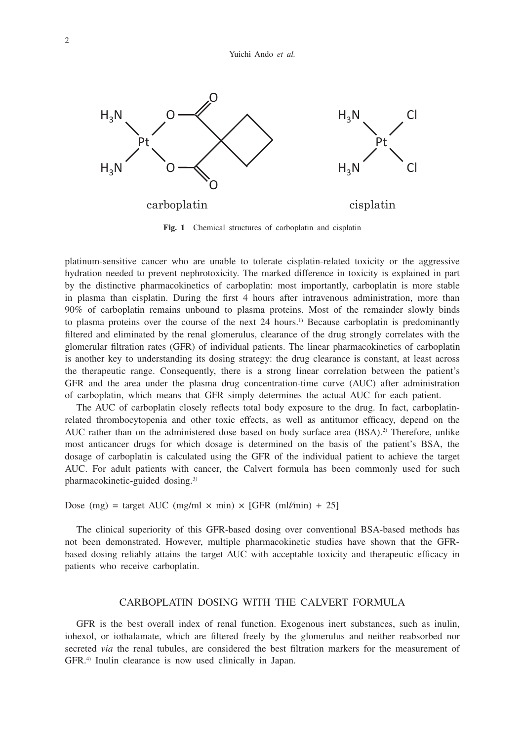

**Fig. 1** Chemical structures of carboplatin and cisplatin

platinum-sensitive cancer who are unable to tolerate cisplatin-related toxicity or the aggressive hydration needed to prevent nephrotoxicity. The marked difference in toxicity is explained in part by the distinctive pharmacokinetics of carboplatin: most importantly, carboplatin is more stable in plasma than cisplatin. During the first 4 hours after intravenous administration, more than 90% of carboplatin remains unbound to plasma proteins. Most of the remainder slowly binds to plasma proteins over the course of the next 24 hours.<sup>1)</sup> Because carboplatin is predominantly filtered and eliminated by the renal glomerulus, clearance of the drug strongly correlates with the glomerular filtration rates (GFR) of individual patients. The linear pharmacokinetics of carboplatin is another key to understanding its dosing strategy: the drug clearance is constant, at least across the therapeutic range. Consequently, there is a strong linear correlation between the patient's GFR and the area under the plasma drug concentration-time curve (AUC) after administration of carboplatin, which means that GFR simply determines the actual AUC for each patient.

The AUC of carboplatin closely reflects total body exposure to the drug. In fact, carboplatinrelated thrombocytopenia and other toxic effects, as well as antitumor efficacy, depend on the AUC rather than on the administered dose based on body surface area  $(BSA)^2$ . Therefore, unlike most anticancer drugs for which dosage is determined on the basis of the patient's BSA, the dosage of carboplatin is calculated using the GFR of the individual patient to achieve the target AUC. For adult patients with cancer, the Calvert formula has been commonly used for such pharmacokinetic-guided dosing.3)

Dose (mg) = target AUC (mg/ml  $\times$  min)  $\times$  [GFR (ml//min) + 25]

The clinical superiority of this GFR-based dosing over conventional BSA-based methods has not been demonstrated. However, multiple pharmacokinetic studies have shown that the GFRbased dosing reliably attains the target AUC with acceptable toxicity and therapeutic efficacy in patients who receive carboplatin.

#### CARBOPLATIN DOSING WITH THE CALVERT FORMULA

GFR is the best overall index of renal function. Exogenous inert substances, such as inulin, iohexol, or iothalamate, which are filtered freely by the glomerulus and neither reabsorbed nor secreted *via* the renal tubules, are considered the best filtration markers for the measurement of GFR.4) Inulin clearance is now used clinically in Japan.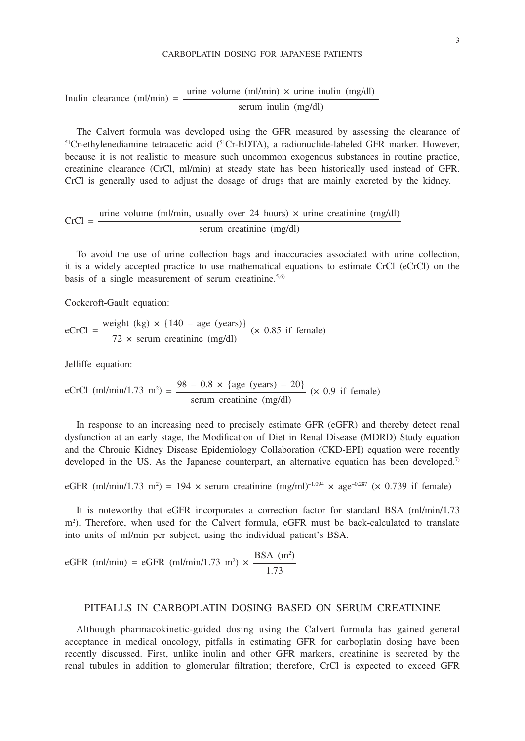#### CARBOPLATIN DOSING FOR JAPANESE PATIENTS

# Inulin clearance (ml/min) =  $\frac{\text{urine volume (ml/min)} \times \text{urine inulin (mg/dl)}}{\text{m}}$ serum inulin (mg/dl)

The Calvert formula was developed using the GFR measured by assessing the clearance of <sup>51</sup>Cr-ethylenediamine tetraacetic acid (<sup>51</sup>Cr-EDTA), a radionuclide-labeled GFR marker. However, because it is not realistic to measure such uncommon exogenous substances in routine practice, creatinine clearance (CrCl, ml/min) at steady state has been historically used instead of GFR. CrCl is generally used to adjust the dosage of drugs that are mainly excreted by the kidney.

$$
CrCl = \frac{\text{urine volume (ml/min, usually over 24 hours)} \times \text{urine creationine (mg/dl)}}{\text{serum creationine (mg/dl)}}
$$

To avoid the use of urine collection bags and inaccuracies associated with urine collection, it is a widely accepted practice to use mathematical equations to estimate CrCl (eCrCl) on the basis of a single measurement of serum creatinine.<sup>5,6)</sup>

Cockcroft-Gault equation:

$$
eCrCl = \frac{\text{weight (kg)} \times \{140 - \text{age (years)}\}}{72 \times \text{serum creation (mg/dl)}} \text{ (x 0.85 if female)}
$$

Jelliffe equation:

eCrCl (ml/min/1.73 m<sup>2</sup>) = 
$$
\frac{98 - 0.8 \times \{age (years) - 20\}}{\text{serum creationine (mg/dl)}}
$$
 (× 0.9 if female)

In response to an increasing need to precisely estimate GFR (eGFR) and thereby detect renal dysfunction at an early stage, the Modification of Diet in Renal Disease (MDRD) Study equation and the Chronic Kidney Disease Epidemiology Collaboration (CKD-EPI) equation were recently developed in the US. As the Japanese counterpart, an alternative equation has been developed.<sup>7)</sup>

eGFR (ml/min/1.73 m<sup>2</sup>) = 194 × serum creatinine (mg/ml)<sup>-1.094</sup> × age<sup>-0.287</sup> (× 0.739 if female)

It is noteworthy that eGFR incorporates a correction factor for standard BSA (ml/min/1.73 m<sup>2</sup>). Therefore, when used for the Calvert formula, eGFR must be back-calculated to translate into units of ml/min per subject, using the individual patient's BSA.

eGFR (ml/min) = eGFR (ml/min/1.73 m<sup>2</sup>) × 
$$
\frac{\text{BSA (m2)}{1.73}
$$

#### PITFALLS IN CARBOPLATIN DOSING BASED ON SERUM CREATININE

Although pharmacokinetic-guided dosing using the Calvert formula has gained general acceptance in medical oncology, pitfalls in estimating GFR for carboplatin dosing have been recently discussed. First, unlike inulin and other GFR markers, creatinine is secreted by the renal tubules in addition to glomerular filtration; therefore, CrCl is expected to exceed GFR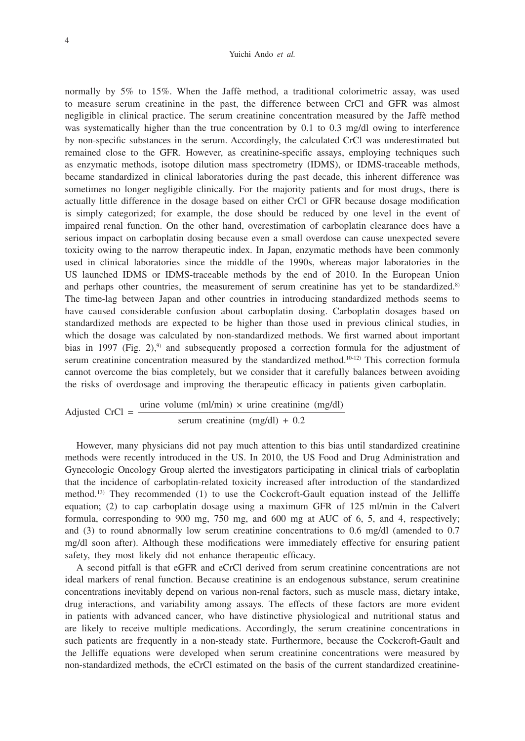#### Yuichi Ando *et al.*

normally by 5% to 15%. When the Jaffè method, a traditional colorimetric assay, was used to measure serum creatinine in the past, the difference between CrCl and GFR was almost negligible in clinical practice. The serum creatinine concentration measured by the Jaffè method was systematically higher than the true concentration by 0.1 to 0.3 mg/dl owing to interference by non-specific substances in the serum. Accordingly, the calculated CrCl was underestimated but remained close to the GFR. However, as creatinine-specific assays, employing techniques such as enzymatic methods, isotope dilution mass spectrometry (IDMS), or IDMS-traceable methods, became standardized in clinical laboratories during the past decade, this inherent difference was sometimes no longer negligible clinically. For the majority patients and for most drugs, there is actually little difference in the dosage based on either CrCl or GFR because dosage modification is simply categorized; for example, the dose should be reduced by one level in the event of impaired renal function. On the other hand, overestimation of carboplatin clearance does have a serious impact on carboplatin dosing because even a small overdose can cause unexpected severe toxicity owing to the narrow therapeutic index. In Japan, enzymatic methods have been commonly used in clinical laboratories since the middle of the 1990s, whereas major laboratories in the US launched IDMS or IDMS-traceable methods by the end of 2010. In the European Union and perhaps other countries, the measurement of serum creatinine has yet to be standardized.<sup>8)</sup> The time-lag between Japan and other countries in introducing standardized methods seems to have caused considerable confusion about carboplatin dosing. Carboplatin dosages based on standardized methods are expected to be higher than those used in previous clinical studies, in which the dosage was calculated by non-standardized methods. We first warned about important bias in 1997 (Fig. 2),<sup>9)</sup> and subsequently proposed a correction formula for the adjustment of serum creatinine concentration measured by the standardized method.<sup>10-12)</sup> This correction formula cannot overcome the bias completely, but we consider that it carefully balances between avoiding the risks of overdosage and improving the therapeutic efficacy in patients given carboplatin.

Adjusted CrCl = 
$$
\frac{\text{urine volume (ml/min)} \times \text{urine creationine (mg/dl)}}{\text{serum creationine (mg/dl)} + 0.2}
$$

However, many physicians did not pay much attention to this bias until standardized creatinine methods were recently introduced in the US. In 2010, the US Food and Drug Administration and Gynecologic Oncology Group alerted the investigators participating in clinical trials of carboplatin that the incidence of carboplatin-related toxicity increased after introduction of the standardized method.13) They recommended (1) to use the Cockcroft-Gault equation instead of the Jelliffe equation; (2) to cap carboplatin dosage using a maximum GFR of 125 ml/min in the Calvert formula, corresponding to 900 mg, 750 mg, and 600 mg at AUC of 6, 5, and 4, respectively; and (3) to round abnormally low serum creatinine concentrations to 0.6 mg/dl (amended to 0.7 mg/dl soon after). Although these modifications were immediately effective for ensuring patient safety, they most likely did not enhance therapeutic efficacy.

A second pitfall is that eGFR and eCrCl derived from serum creatinine concentrations are not ideal markers of renal function. Because creatinine is an endogenous substance, serum creatinine concentrations inevitably depend on various non-renal factors, such as muscle mass, dietary intake, drug interactions, and variability among assays. The effects of these factors are more evident in patients with advanced cancer, who have distinctive physiological and nutritional status and are likely to receive multiple medications. Accordingly, the serum creatinine concentrations in such patients are frequently in a non-steady state. Furthermore, because the Cockcroft-Gault and the Jelliffe equations were developed when serum creatinine concentrations were measured by non-standardized methods, the eCrCl estimated on the basis of the current standardized creatinine-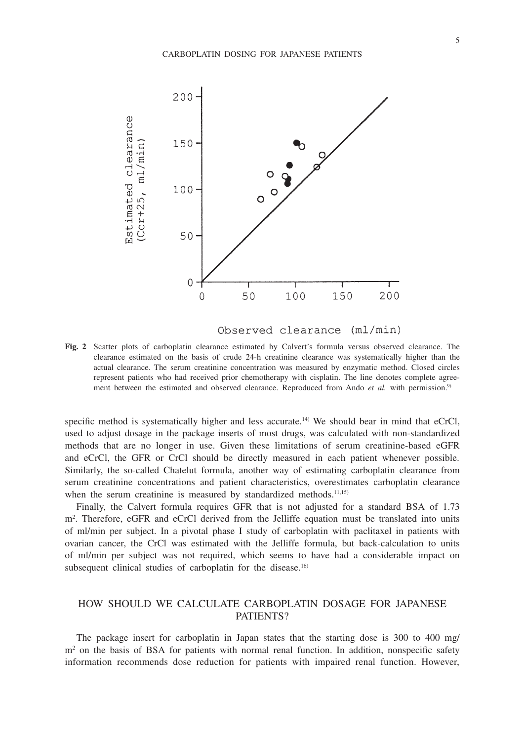

Observed clearance (ml/min)

**Fig. 2** Scatter plots of carboplatin clearance estimated by Calvert's formula versus observed clearance. The clearance estimated on the basis of crude 24-h creatinine clearance was systematically higher than the actual clearance. The serum creatinine concentration was measured by enzymatic method. Closed circles represent patients who had received prior chemotherapy with cisplatin. The line denotes complete agreement between the estimated and observed clearance. Reproduced from Ando *et al.* with permission.<sup>9)</sup>

specific method is systematically higher and less accurate.<sup>14)</sup> We should bear in mind that eCrCl, used to adjust dosage in the package inserts of most drugs, was calculated with non-standardized methods that are no longer in use. Given these limitations of serum creatinine-based eGFR and eCrCl, the GFR or CrCl should be directly measured in each patient whenever possible. Similarly, the so-called Chatelut formula, another way of estimating carboplatin clearance from serum creatinine concentrations and patient characteristics, overestimates carboplatin clearance when the serum creatinine is measured by standardized methods.<sup>11,15)</sup>

Finally, the Calvert formula requires GFR that is not adjusted for a standard BSA of 1.73 m<sup>2</sup>. Therefore, eGFR and eCrCl derived from the Jelliffe equation must be translated into units of ml/min per subject. In a pivotal phase I study of carboplatin with paclitaxel in patients with ovarian cancer, the CrCl was estimated with the Jelliffe formula, but back-calculation to units of ml/min per subject was not required, which seems to have had a considerable impact on subsequent clinical studies of carboplatin for the disease.<sup>16)</sup>

## HOW SHOULD WE CALCULATE CARBOPLATIN DOSAGE FOR JAPANESE PATIENTS?

The package insert for carboplatin in Japan states that the starting dose is 300 to 400 mg/ m<sup>2</sup> on the basis of BSA for patients with normal renal function. In addition, nonspecific safety information recommends dose reduction for patients with impaired renal function. However,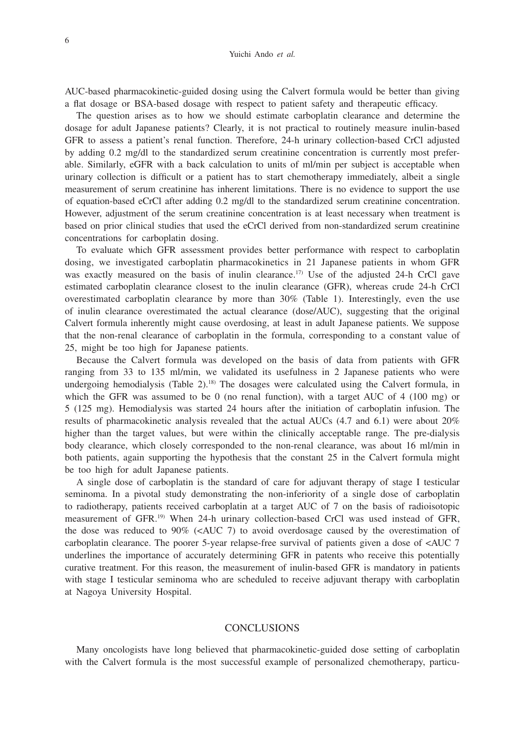AUC-based pharmacokinetic-guided dosing using the Calvert formula would be better than giving a flat dosage or BSA-based dosage with respect to patient safety and therapeutic efficacy.

The question arises as to how we should estimate carboplatin clearance and determine the dosage for adult Japanese patients? Clearly, it is not practical to routinely measure inulin-based GFR to assess a patient's renal function. Therefore, 24-h urinary collection-based CrCl adjusted by adding 0.2 mg/dl to the standardized serum creatinine concentration is currently most preferable. Similarly, eGFR with a back calculation to units of ml/min per subject is acceptable when urinary collection is difficult or a patient has to start chemotherapy immediately, albeit a single measurement of serum creatinine has inherent limitations. There is no evidence to support the use of equation-based eCrCl after adding 0.2 mg/dl to the standardized serum creatinine concentration. However, adjustment of the serum creatinine concentration is at least necessary when treatment is based on prior clinical studies that used the eCrCl derived from non-standardized serum creatinine concentrations for carboplatin dosing.

To evaluate which GFR assessment provides better performance with respect to carboplatin dosing, we investigated carboplatin pharmacokinetics in 21 Japanese patients in whom GFR was exactly measured on the basis of inulin clearance.<sup>17)</sup> Use of the adjusted 24-h CrCl gave estimated carboplatin clearance closest to the inulin clearance (GFR), whereas crude 24-h CrCl overestimated carboplatin clearance by more than 30% (Table 1). Interestingly, even the use of inulin clearance overestimated the actual clearance (dose/AUC), suggesting that the original Calvert formula inherently might cause overdosing, at least in adult Japanese patients. We suppose that the non-renal clearance of carboplatin in the formula, corresponding to a constant value of 25, might be too high for Japanese patients.

Because the Calvert formula was developed on the basis of data from patients with GFR ranging from 33 to 135 ml/min, we validated its usefulness in 2 Japanese patients who were undergoing hemodialysis (Table  $2$ ).<sup>18)</sup> The dosages were calculated using the Calvert formula, in which the GFR was assumed to be 0 (no renal function), with a target AUC of  $4 \times (100 \text{ mg})$  or 5 (125 mg). Hemodialysis was started 24 hours after the initiation of carboplatin infusion. The results of pharmacokinetic analysis revealed that the actual AUCs (4.7 and 6.1) were about 20% higher than the target values, but were within the clinically acceptable range. The pre-dialysis body clearance, which closely corresponded to the non-renal clearance, was about 16 ml/min in both patients, again supporting the hypothesis that the constant 25 in the Calvert formula might be too high for adult Japanese patients.

A single dose of carboplatin is the standard of care for adjuvant therapy of stage I testicular seminoma. In a pivotal study demonstrating the non-inferiority of a single dose of carboplatin to radiotherapy, patients received carboplatin at a target AUC of 7 on the basis of radioisotopic measurement of GFR.19) When 24-h urinary collection-based CrCl was used instead of GFR, the dose was reduced to  $90\%$  (<AUC 7) to avoid overdosage caused by the overestimation of carboplatin clearance. The poorer 5-year relapse-free survival of patients given a dose of <AUC 7 underlines the importance of accurately determining GFR in patents who receive this potentially curative treatment. For this reason, the measurement of inulin-based GFR is mandatory in patients with stage I testicular seminoma who are scheduled to receive adjuvant therapy with carboplatin at Nagoya University Hospital.

### **CONCLUSIONS**

Many oncologists have long believed that pharmacokinetic-guided dose setting of carboplatin with the Calvert formula is the most successful example of personalized chemotherapy, particu-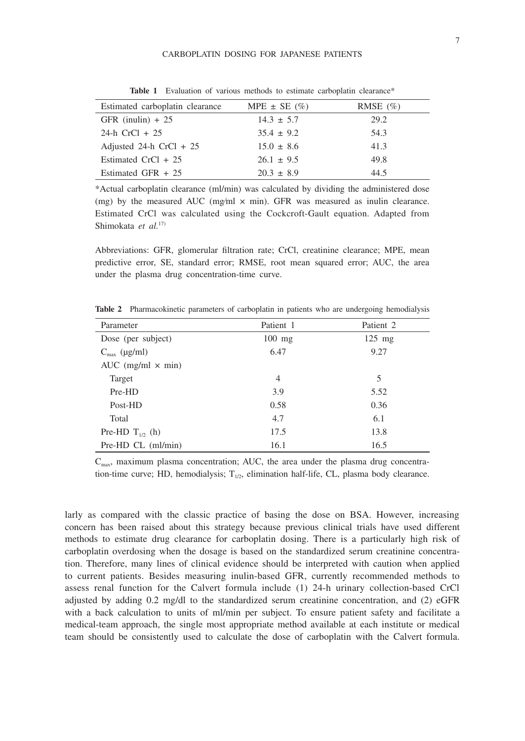| Estimated carboplatin clearance | MPE $\pm$ SE $(\%)$ | RMSE $(\% )$ |
|---------------------------------|---------------------|--------------|
| GFR (inulin) $+25$              | $14.3 \pm 5.7$      | 29.2         |
| 24-h $CrCl + 25$                | $35.4 \pm 9.2$      | 54.3         |
| Adjusted 24-h $CrCl + 25$       | $15.0 \pm 8.6$      | 41.3         |
| Estimated $CrCl + 25$           | $26.1 \pm 9.5$      | 49.8         |
| Estimated GFR $+25$             | $20.3 \pm 8.9$      | 44.5         |

**Table 1** Evaluation of various methods to estimate carboplatin clearance\*

\*Actual carboplatin clearance (ml/min) was calculated by dividing the administered dose (mg) by the measured AUC (mg/ml  $\times$  min). GFR was measured as inulin clearance. Estimated CrCl was calculated using the Cockcroft-Gault equation. Adapted from Shimokata *et al.*17)

Abbreviations: GFR, glomerular filtration rate; CrCl, creatinine clearance; MPE, mean predictive error, SE, standard error; RMSE, root mean squared error; AUC, the area under the plasma drug concentration-time curve.

| Parameter                | Patient 1      | Patient 2 |
|--------------------------|----------------|-----------|
| Dose (per subject)       | $100$ mg       | $125$ mg  |
| $C_{\text{max}}$ (µg/ml) | 6.47           | 9.27      |
| AUC (mg/ml $\times$ min) |                |           |
| Target                   | $\overline{4}$ | 5         |
| Pre-HD                   | 3.9            | 5.52      |
| Post-HD                  | 0.58           | 0.36      |
| Total                    | 4.7            | 6.1       |
| Pre-HD $T_{1/2}$ (h)     | 17.5           | 13.8      |
| Pre-HD CL (ml/min)       | 16.1           | 16.5      |

**Table 2** Pharmacokinetic parameters of carboplatin in patients who are undergoing hemodialysis

 $C_{\text{max}}$ , maximum plasma concentration; AUC, the area under the plasma drug concentration-time curve; HD, hemodialysis;  $T_{1/2}$ , elimination half-life, CL, plasma body clearance.

larly as compared with the classic practice of basing the dose on BSA. However, increasing concern has been raised about this strategy because previous clinical trials have used different methods to estimate drug clearance for carboplatin dosing. There is a particularly high risk of carboplatin overdosing when the dosage is based on the standardized serum creatinine concentration. Therefore, many lines of clinical evidence should be interpreted with caution when applied to current patients. Besides measuring inulin-based GFR, currently recommended methods to assess renal function for the Calvert formula include (1) 24-h urinary collection-based CrCl adjusted by adding 0.2 mg/dl to the standardized serum creatinine concentration, and (2) eGFR with a back calculation to units of ml/min per subject. To ensure patient safety and facilitate a medical-team approach, the single most appropriate method available at each institute or medical team should be consistently used to calculate the dose of carboplatin with the Calvert formula.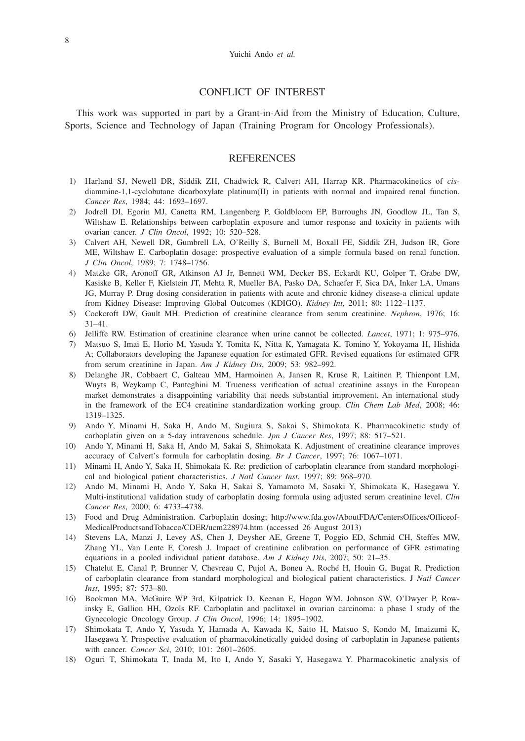#### CONFLICT OF INTEREST

This work was supported in part by a Grant-in-Aid from the Ministry of Education, Culture, Sports, Science and Technology of Japan (Training Program for Oncology Professionals).

#### **REFERENCES**

- 1) Harland SJ, Newell DR, Siddik ZH, Chadwick R, Calvert AH, Harrap KR. Pharmacokinetics of *cis*diammine-1,1-cyclobutane dicarboxylate platinum(II) in patients with normal and impaired renal function. *Cancer Res*, 1984; 44: 1693–1697.
- 2) Jodrell DI, Egorin MJ, Canetta RM, Langenberg P, Goldbloom EP, Burroughs JN, Goodlow JL, Tan S, Wiltshaw E. Relationships between carboplatin exposure and tumor response and toxicity in patients with ovarian cancer. *J Clin Oncol*, 1992; 10: 520–528.
- 3) Calvert AH, Newell DR, Gumbrell LA, O'Reilly S, Burnell M, Boxall FE, Siddik ZH, Judson IR, Gore ME, Wiltshaw E. Carboplatin dosage: prospective evaluation of a simple formula based on renal function. *J Clin Oncol*, 1989; 7: 1748–1756.
- 4) Matzke GR, Aronoff GR, Atkinson AJ Jr, Bennett WM, Decker BS, Eckardt KU, Golper T, Grabe DW, Kasiske B, Keller F, Kielstein JT, Mehta R, Mueller BA, Pasko DA, Schaefer F, Sica DA, Inker LA, Umans JG, Murray P. Drug dosing consideration in patients with acute and chronic kidney disease-a clinical update from Kidney Disease: Improving Global Outcomes (KDIGO). *Kidney Int*, 2011; 80: 1122–1137.
- 5) Cockcroft DW, Gault MH. Prediction of creatinine clearance from serum creatinine. *Nephron*, 1976; 16: 31–41.
- 6) Jelliffe RW. Estimation of creatinine clearance when urine cannot be collected. *Lancet*, 1971; 1: 975–976.
- 7) Matsuo S, Imai E, Horio M, Yasuda Y, Tomita K, Nitta K, Yamagata K, Tomino Y, Yokoyama H, Hishida A; Collaborators developing the Japanese equation for estimated GFR. Revised equations for estimated GFR from serum creatinine in Japan. *Am J Kidney Dis*, 2009; 53: 982–992.
- 8) Delanghe JR, Cobbaert C, Galteau MM, Harmoinen A, Jansen R, Kruse R, Laitinen P, Thienpont LM, Wuyts B, Weykamp C, Panteghini M. Trueness verification of actual creatinine assays in the European market demonstrates a disappointing variability that needs substantial improvement. An international study in the framework of the EC4 creatinine standardization working group. *Clin Chem Lab Med*, 2008; 46: 1319–1325.
- 9) Ando Y, Minami H, Saka H, Ando M, Sugiura S, Sakai S, Shimokata K. Pharmacokinetic study of carboplatin given on a 5-day intravenous schedule. *Jpn J Cancer Res*, 1997; 88: 517–521.
- 10) Ando Y, Minami H, Saka H, Ando M, Sakai S, Shimokata K. Adjustment of creatinine clearance improves accuracy of Calvert's formula for carboplatin dosing. *Br J Cancer*, 1997; 76: 1067–1071.
- 11) Minami H, Ando Y, Saka H, Shimokata K. Re: prediction of carboplatin clearance from standard morphological and biological patient characteristics. *J Natl Cancer Inst*, 1997; 89: 968–970.
- 12) Ando M, Minami H, Ando Y, Saka H, Sakai S, Yamamoto M, Sasaki Y, Shimokata K, Hasegawa Y. Multi-institutional validation study of carboplatin dosing formula using adjusted serum creatinine level. *Clin Cancer Res*, 2000; 6: 4733–4738.
- 13) Food and Drug Administration. Carboplatin dosing; http://www.fda.gov/AboutFDA/CentersOffices/Officeof-MedicalProductsandTobacco/CDER/ucm228974.htm (accessed 26 August 2013)
- 14) Stevens LA, Manzi J, Levey AS, Chen J, Deysher AE, Greene T, Poggio ED, Schmid CH, Steffes MW, Zhang YL, Van Lente F, Coresh J. Impact of creatinine calibration on performance of GFR estimating equations in a pooled individual patient database. *Am J Kidney Dis*, 2007; 50: 21–35.
- 15) Chatelut E, Canal P, Brunner V, Chevreau C, Pujol A, Boneu A, Roché H, Houin G, Bugat R. Prediction of carboplatin clearance from standard morphological and biological patient characteristics. J *Natl Cancer Inst*, 1995; 87: 573–80.
- 16) Bookman MA, McGuire WP 3rd, Kilpatrick D, Keenan E, Hogan WM, Johnson SW, O'Dwyer P, Rowinsky E, Gallion HH, Ozols RF. Carboplatin and paclitaxel in ovarian carcinoma: a phase I study of the Gynecologic Oncology Group. *J Clin Oncol*, 1996; 14: 1895–1902.
- 17) Shimokata T, Ando Y, Yasuda Y, Hamada A, Kawada K, Saito H, Matsuo S, Kondo M, Imaizumi K, Hasegawa Y. Prospective evaluation of pharmacokinetically guided dosing of carboplatin in Japanese patients with cancer. *Cancer Sci*, 2010; 101: 2601–2605.
- 18) Oguri T, Shimokata T, Inada M, Ito I, Ando Y, Sasaki Y, Hasegawa Y. Pharmacokinetic analysis of